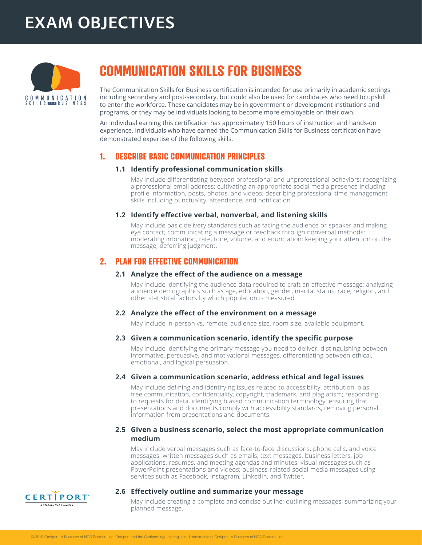# **EXAM OBJECTIVES**



# **COMMUNICATION SKILLS FOR BUSINESS**

The Communication Skills for Business certification is intended for use primarily in academic settings including secondary and post-secondary, but could also be used for candidates who need to upskill to enter the workforce. These candidates may be in government or development institutions and programs, or they may be individuals looking to become more employable on their own.

An individual earning this certification has approximately 150 hours of instruction and hands-on experience. Individuals who have earned the Communication Skills for Business certification have demonstrated expertise of the following skills.

# **1. DESCRIBE BASIC COMMUNICATION PRINCIPLES**

#### **1.1 Identify professional communication skills**

 May include differentiating between professional and unprofessional behaviors; recognizing a professional email address; cultivating an appropriate social media presence including profile information, posts, photos, and videos; describing professional time-management skills including punctuality, attendance, and notification.

#### **1.2 Identify effective verbal, nonverbal, and listening skills**

 May include basic delivery standards such as facing the audience or speaker and making eye contact; communicating a message or feedback through nonverbal methods; moderating intonation, rate, tone, volume, and enunciation; keeping your attention on the message; deferring judgment.

# **2. PLAN FOR EFFECTIVE COMMUNICATION**

#### **2.1 Analyze the effect of the audience on a message**

 May include identifying the audience data required to craft an effective message; analyzing audience demographics such as age, education, gender, marital status, race, religion, and other statistical factors by which population is measured.

#### **2.2 Analyze the effect of the environment on a message**

 May include in-person vs. remote, audience size, room size, available equipment.

#### **2.3 Given a communication scenario, identify the specific purpose**

 May include identifying the primary message you need to deliver; distinguishing between informative, persuasive, and motivational messages, differentiating between ethical, emotional, and logical persuasion.

#### **2.4 Given a communication scenario, address ethical and legal issues**

 May include defining and identifying issues related to accessibility, attribution, biasfree communication, confidentiality, copyright, trademark, and plagiarism; responding to requests for data, identifying biased communication terminology, ensuring that presentations and documents comply with accessibility standards, removing personal information from presentations and documents.

#### **2.5 Given a business scenario, select the most appropriate communication medium**

 May include verbal messages such as face-to-face discussions, phone calls, and voice messages; written messages such as emails, text messages, business letters, job applications, resumes, and meeting agendas and minutes; visual messages such as PowerPoint presentations and videos; business-related social media messages using services such as Facebook, Instagram, LinkedIn, and Twitter.



#### **2.6 Effectively outline and summarize your message**

 May include creating a complete and concise outline; outlining messages; summarizing your planned message.